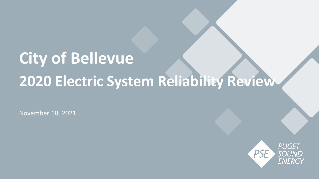# **City of Bellevue 2020 Electric System Reliability Review**

November 18, 2021

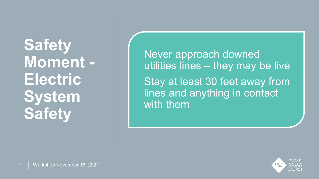**Safety Moment - Electric System Safety**

Never approach downed utilities lines - they may be live Stay at least 30 feet away from lines and anything in contact with them

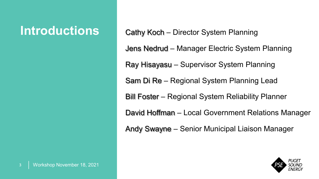**Introductions** Cathy Koch – Director System Planning Jens Nedrud – Manager Electric System Planning Ray Hisayasu – Supervisor System Planning Sam Di Re – Regional System Planning Lead Bill Foster – Regional System Reliability Planner David Hoffman – Local Government Relations Manager Andy Swayne – Senior Municipal Liaison Manager

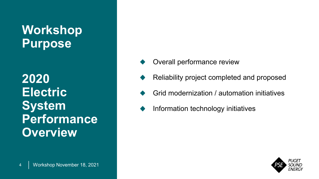#### **Workshop Purpose**

**2020 Electric System Performance Overview**

- Overall performance review
- Reliability project completed and proposed
- Grid modernization / automation initiatives
- Information technology initiatives

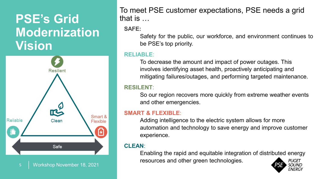#### **PSE's Grid Modernization Vision**



To meet PSE customer expectations, PSE needs a grid that is …

**SAFE:**

Safety for the public, our workforce, and environment continues to be PSE's top priority.

#### **RELIABLE**:

To decrease the amount and impact of power outages. This involves identifying asset health, proactively anticipating and mitigating failures/outages, and performing targeted maintenance.

#### **RESILENT**:

So our region recovers more quickly from extreme weather events and other emergencies.

#### **SMART & FLEXIBLE**:

Adding intelligence to the electric system allows for more automation and technology to save energy and improve customer experience.

#### **CLEAN**:

Enabling the rapid and equitable integration of distributed energy resources and other green technologies. PUGET

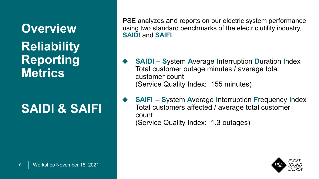**Overview Reliability Reporting Metrics**

### **SAIDI & SAIFI**

PSE analyzes and reports on our electric system performance using two standard benchmarks of the electric utility industry, **SAIDI** and **SAIFI**.

- **SAIDI S**ystem **A**verage **I**nterruption **D**uration **I**ndex Total customer outage minutes / average total customer count (Service Quality Index: 155 minutes)
- **SAIFI S**ystem **A**verage **I**nterruption **F**requency **I**ndex Total customers affected / average total customer count (Service Quality Index: 1.3 outages)

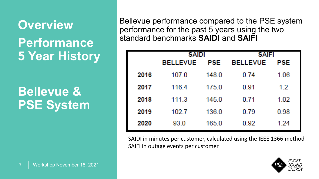### **Overview Performance 5 Year History**

#### **Bellevue & PSE System**

Bellevue performance compared to the PSE system performance for the past 5 years using the two standard benchmarks **SAIDI** and **SAIFI**

|      | <b>SAIDI</b>    |            | <b>SAIFI</b>    |      |  |
|------|-----------------|------------|-----------------|------|--|
|      | <b>BELLEVUE</b> | <b>PSE</b> | <b>BELLEVUE</b> | PSE  |  |
| 2016 | 107.0           | 148.0      | 0.74            | 1.06 |  |
| 2017 | 116.4           | 175.0      | 0.91            | 1.2  |  |
| 2018 | 111.3           | 145.0      | 0.71            | 1.02 |  |
| 2019 | 102.7           | 136.0      | 0.79            | 0.98 |  |
| 2020 | 93.0            | 165.0      | 0.92            | 1.24 |  |

SAIDI in minutes per customer, calculated using the IEEE 1366 method SAIFI in outage events per customer

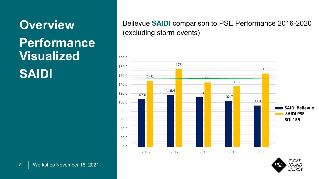## **Overview Performance Visualized SAIDI**

#### Bellevue **SAIDI** comparison to PSE Performance 2016-2020 (excluding storm events)



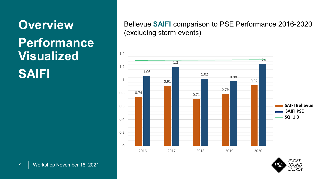## **Overview Performance Visualized SAIFI**

#### Bellevue **SAIFI** comparison to PSE Performance 2016-2020 (excluding storm events)



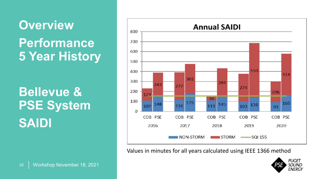### **Overview Performance 5 Year History**

**Bellevue & PSE System SAIDI**



Values in minutes for all years calculated using IEEE 1366 method

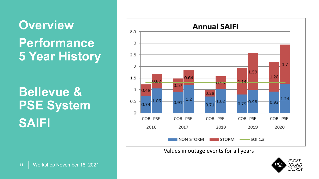### **Overview Performance 5 Year History**

**Bellevue & PSE System SAIFI**



Values in outage events for all years

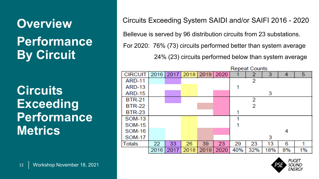**Overview Performance By Circuit**

**Circuits Exceeding Performance Metrics**

Circuits Exceeding System SAIDI and/or SAIFI 2016 - 2020

Bellevue is served by 96 distribution circuits from 23 substations.

For 2020: 76% (73) circuits performed better than system average

24% (23) circuits performed below than system average



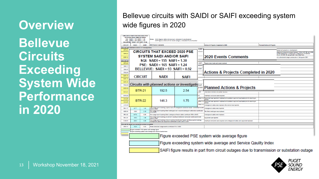#### **Overview Bellevue Circuits Exceeding System Wide Performance in 2020**

#### Bellevue circuits with SAIDI or SAIFI exceeding system wide figures in 2020

|                                | <b>CIRCUITS THAT EXCEED 2020 PSE</b><br><b>SYSTEM SAIDI AND/OR SAIFI</b><br>SQI: SAIDI = 155 SAIFI = 1.30<br>PSE: SAIDI = 165 SAIFI = 1.24<br>BELLEVUE: SAIDI = 93 SAIFI = 0.92 |                | Notes: SAIDI figures reflect all non-med, scheduled & unscheduled                                                                                                  | SAIFI figures reflect all non-storm outages, scheduled & unscheduled |                             |                                                                                                                   |                                                                                                                                                                           |  |
|--------------------------------|---------------------------------------------------------------------------------------------------------------------------------------------------------------------------------|----------------|--------------------------------------------------------------------------------------------------------------------------------------------------------------------|----------------------------------------------------------------------|-----------------------------|-------------------------------------------------------------------------------------------------------------------|---------------------------------------------------------------------------------------------------------------------------------------------------------------------------|--|
| <b>CIRCUIT</b>                 | <b>SAIDI</b>                                                                                                                                                                    | <b>SAIFI</b>   | 2020 Events Comments                                                                                                                                               |                                                                      |                             | <b>Actions &amp; Projects Completed in 2020</b>                                                                   | <b>Planned Actions &amp; Projects</b>                                                                                                                                     |  |
|                                | Circuits with planned actions or investigations                                                                                                                                 |                |                                                                                                                                                                    |                                                                      | ng NE                       |                                                                                                                   |                                                                                                                                                                           |  |
| <b>BTR-21</b>                  | <b>CIRCUITS THAT EXCEED 2020 PSE</b>                                                                                                                                            |                |                                                                                                                                                                    |                                                                      |                             |                                                                                                                   | placement project is in development.<br>derground conversion project between 132nd AVE NE and 140th                                                                       |  |
| <b>BTR-22</b><br><b>EGT-12</b> | <b>SYSTEM SAIDI AND/OR SAIFI</b>                                                                                                                                                |                |                                                                                                                                                                    |                                                                      | <b>2020 Events Comments</b> |                                                                                                                   | quired easement(s). A distribution underground converstion<br>m on 132 AVE NE along Bridle Trails State Park.<br># is scheduled to begin construction in 3rd quarter 2021 |  |
| irouits wi                     |                                                                                                                                                                                 |                | <b>SOI: SAIDI = 155 SAIFI = 1.30</b>                                                                                                                               |                                                                      |                             |                                                                                                                   |                                                                                                                                                                           |  |
| <b>BTR-23</b>                  |                                                                                                                                                                                 |                | $PSF: SAIDI = 165 SAIFI = 1.24$                                                                                                                                    |                                                                      | SAIFL<br>on of a            | Repairs were made and power restored                                                                              |                                                                                                                                                                           |  |
| <b>CEN-11</b>                  |                                                                                                                                                                                 |                | BELLEVUE: $SADI = 93$ SAIFI = 0.92                                                                                                                                 |                                                                      | <b>s</b> both               |                                                                                                                   |                                                                                                                                                                           |  |
| CEN-25                         |                                                                                                                                                                                 |                |                                                                                                                                                                    |                                                                      |                             |                                                                                                                   |                                                                                                                                                                           |  |
| COL-23                         |                                                                                                                                                                                 |                |                                                                                                                                                                    |                                                                      |                             | Actions & Projects Completed in 2020                                                                              |                                                                                                                                                                           |  |
| EGT-11                         |                                                                                                                                                                                 | <b>CIRCUIT</b> | SAIDI                                                                                                                                                              | <b>SAIFI</b>                                                         |                             |                                                                                                                   |                                                                                                                                                                           |  |
| EGT-15                         |                                                                                                                                                                                 |                |                                                                                                                                                                    |                                                                      |                             |                                                                                                                   |                                                                                                                                                                           |  |
| EGT-25<br><b>FAC-25</b>        |                                                                                                                                                                                 |                | Circuits with planned actions or investigatios                                                                                                                     |                                                                      |                             |                                                                                                                   |                                                                                                                                                                           |  |
|                                |                                                                                                                                                                                 |                |                                                                                                                                                                    |                                                                      | dh SAID                     | <b>Planned Actions &amp; Projects</b>                                                                             |                                                                                                                                                                           |  |
|                                | GOO-13<br><b>BTR-21</b><br>192.5<br>2.54                                                                                                                                        |                | circuit :                                                                                                                                                          |                                                                      |                             |                                                                                                                   |                                                                                                                                                                           |  |
| GOO-21                         |                                                                                                                                                                                 |                |                                                                                                                                                                    |                                                                      | both                        | tees were removed and bowe.                                                                                       |                                                                                                                                                                           |  |
| <b>KWH-25</b>                  |                                                                                                                                                                                 |                |                                                                                                                                                                    |                                                                      | ١A.                         | Overhead conductors were repaired                                                                                 |                                                                                                                                                                           |  |
| $LHL-23$                       |                                                                                                                                                                                 | <b>BTR-22</b>  | 146.3                                                                                                                                                              | 1.75                                                                 |                             | aulted in a Equipment was repaired or replaced and substaion equiment was tested prior to returning to<br>service |                                                                                                                                                                           |  |
| LHL-25                         |                                                                                                                                                                                 |                |                                                                                                                                                                    |                                                                      |                             | sulted in a Equipment was repaired or replaced and substaion equiment was tested prior to returning to<br>service |                                                                                                                                                                           |  |
| LOC-33                         |                                                                                                                                                                                 |                |                                                                                                                                                                    |                                                                      | sulted in a                 | Underground cables were replaced after conduit was repaired                                                       |                                                                                                                                                                           |  |
| <b>MLK-15</b>                  | 227.7                                                                                                                                                                           | 1.42           | rune outage event involving a spice tailure in underground distibution teeder contributed to both<br>SAIDI & SAIFI.                                                |                                                                      |                             | Underground cables were repaired                                                                                  |                                                                                                                                                                           |  |
| <b>NOB-24</b>                  | 130.6                                                                                                                                                                           | 2.10           | One outage event involving failed switchgear and a second switchgear malfunction contributed<br>2.0 to SAIFI.                                                      |                                                                      |                             | The failed switchgear was replaced.                                                                               |                                                                                                                                                                           |  |
| <b>NRU-23</b>                  | 617.8                                                                                                                                                                           | 0.95           | One outage event involving failed underground feeder cables contributed 608 to SAIDI                                                                               |                                                                      |                             | Underground cables were replaced                                                                                  |                                                                                                                                                                           |  |
| <b>NRU-27</b>                  | 194.9                                                                                                                                                                           | 1.46           | One outage event involving an animal in overhead distribution conductor contributed to both<br>SAIDI & SAIFI                                                       |                                                                      |                             | Equipment was repaired.                                                                                           |                                                                                                                                                                           |  |
| SOM-16                         | 208.3                                                                                                                                                                           | 4.88           | One outage event involving a tree in overhead distribution feeder and three events involving<br>underground cables and equipment contributed to both SAIDI & SAIFI |                                                                      |                             | Overhead conductors were repaired and underground cables and equipment replaced                                   |                                                                                                                                                                           |  |
|                                | Circuits for which no corrective action is needed                                                                                                                               |                |                                                                                                                                                                    |                                                                      |                             |                                                                                                                   |                                                                                                                                                                           |  |
| ARD-15                         | 162.8                                                                                                                                                                           | 0.83           | Three scheduled outage events contributed 85 to SAIDI.                                                                                                             |                                                                      |                             |                                                                                                                   |                                                                                                                                                                           |  |
|                                |                                                                                                                                                                                 |                | Figure exceeded PSE system wide average figure<br>Figure exceeding system wide average and Service Qaulity Index                                                   |                                                                      |                             |                                                                                                                   |                                                                                                                                                                           |  |
|                                |                                                                                                                                                                                 |                |                                                                                                                                                                    |                                                                      |                             |                                                                                                                   |                                                                                                                                                                           |  |
|                                |                                                                                                                                                                                 |                |                                                                                                                                                                    |                                                                      |                             | Figure exceeded PSE system wide average figure                                                                    |                                                                                                                                                                           |  |
|                                |                                                                                                                                                                                 |                |                                                                                                                                                                    |                                                                      |                             |                                                                                                                   |                                                                                                                                                                           |  |
|                                |                                                                                                                                                                                 |                |                                                                                                                                                                    |                                                                      |                             | Figure exceeding system wide average and Service Qaulity Index                                                    |                                                                                                                                                                           |  |
|                                |                                                                                                                                                                                 |                |                                                                                                                                                                    |                                                                      |                             |                                                                                                                   |                                                                                                                                                                           |  |
|                                | SAIFI figure results in part from circuit outages due to transmission or substation outage                                                                                      |                |                                                                                                                                                                    |                                                                      |                             |                                                                                                                   |                                                                                                                                                                           |  |

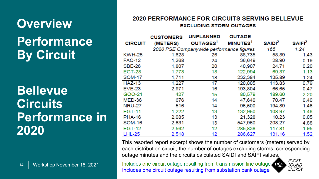### **Overview Performance By Circuit**

#### **Bellevue Circuits Performance in 2020**

#### **2020 PERFORMANCE FOR CIRCUITS SERVING BELLEVUE EXCLUDING STORM OUTAGES**

|                | <b>CUSTOMERS</b> | <b>UNPLANNED</b>                         | <b>OUTAGE</b>        |                    |                           |
|----------------|------------------|------------------------------------------|----------------------|--------------------|---------------------------|
| <b>CIRCUIT</b> | (METERS)         | OUTAGES <sup>1</sup>                     | MINUTES <sup>1</sup> | SAIDI <sup>2</sup> | <b>SAIFI</b> <sup>2</sup> |
|                |                  | 2020 PSE Companywide performance figures |                      | 165                | 1.24                      |
| <b>KWH-25</b>  | 1,628            | 26                                       | 88,735               | 58.89              | 1.43                      |
| <b>FAC-12</b>  | 1,268            | 24                                       | 36,649               | 28.90              | 0.19                      |
| <b>SBE-26</b>  | 1,807            | 20                                       | 40,907               | 24.71              | 0.20                      |
| <b>EGT-28</b>  | 1,773            | 18                                       | 122,994              | 69.37              | 1.13                      |
| <b>SOM-17</b>  | 1,711            | 18                                       | 232,384              | 135.89             | 1.24                      |
| $HAZ-13$       | 1,227            | 17                                       | 120,805              | 113.83             | 0.79                      |
| $EVE-23$       | 2,971            | 16                                       | 193,804              | 66.65              | 0.47                      |
| GOO-21         | 427              | 15                                       | 80,579               | 189.60             | 2.20                      |
| <b>MED-36</b>  | 676              | 14                                       | 47,640               | 70.47              | 0.40                      |
| <b>NRU-27</b>  | 516              | 14                                       | 96,500               | 194.89             | 1.46                      |
| <b>EGT-11</b>  | 1,222            | 13                                       | 132,950              | 108.97             | 1.46                      |
| <b>PHA-16</b>  | 2,085            | 13                                       | 21,328               | 10.23              | 0.05                      |
| SOM-16         | 2,631            | 13                                       | 547,960              | 208.27             | 4.88                      |
| <b>EGT-12</b>  | 2,562            | 12                                       | 285,838              | 117.81             | 1.95                      |
| <b>LHL-25</b>  | 2,518            | 12                                       | 286,627              | 131.16             | 1.52                      |

This resorted report excerpt shows the number of customers (meters) served by each distribution circuit, the number of outages excluding storms, corresponding outage minutes and the circuits calculated SAIDI and SAIFI values.

Includes one circuit outage resulting from transmission line outage Includes one circuit outage resulting from substation bank outage

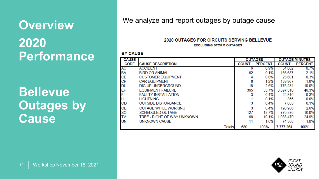### **Overview 2020**

**Performance**

**Bellevue Outages by Cause**

We analyze and report outages by outage cause

#### 2020 OUTAGES FOR CIRCUITS SERVING BELLEVUE **EXCLUDING STORM OUTAGES**

#### **BY CAUSE**

| <b>CAUSE</b> |                             |        | <b>OUTAGES</b> |                | <b>OUTAGE MINUTES</b> |                |  |
|--------------|-----------------------------|--------|----------------|----------------|-----------------------|----------------|--|
| <b>CODE</b>  | <b>CAUSE DESCRIPTION</b>    |        | <b>COUNT</b>   | <b>PERCENT</b> | <b>COUNT</b>          | <b>PERCENT</b> |  |
| AC           | <b>ACCIDENT</b>             |        | 6              | 0.9%           | 54,862                | 0.7%           |  |
| <b>BA</b>    | <b>BIRD OR ANIMAL</b>       |        | 62             | 9.1%           | 166,637               | 2.1%           |  |
| <b>CE</b>    | <b>CUSTOMER EQUIPMENT</b>   |        | 4              | 0.6%           | 25,601                | 0.3%           |  |
| CP           | <b>CAR EQUIPMENT</b>        |        | 8              | 1.2%           | 139,907               | 1.8%           |  |
| <b>DU</b>    | DIG UP UNDERGROUND          |        | 18             | 2.6%           | 775,284               | 10.0%          |  |
| EF           | <b>EQUIPMENT FAILURE</b>    |        | 365            | 53.7%          | 3.597.310             | 46.3%          |  |
| FI           | <b>FAULTY INSTALLATION</b>  |        | 3              | 0.4%           | 22.816                | 0.3%           |  |
| Ш            | <b>LIGHTNING</b>            |        |                | 0.1%           | 356                   | 0.0%           |  |
| <b>OD</b>    | <b>OUTSIDE DISTURBANCE</b>  |        | 3              | 0.4%           | 7,803                 | 0.1%           |  |
| <b>OE</b>    | <b>OUTAGE WHILE WORKING</b> |        | 3              | 0.4%           | 198.966               | 2.6%           |  |
| <b>SO</b>    | <b>SCHEDULED OUTAGE</b>     |        | 127            | 18.7%          | 779,876               | 10.0%          |  |
| <b>TV</b>    | TREE - RIGHT OF WAY UNKNOWN |        | 69             | 10.1%          | 1,933,479             | 24.9%          |  |
| <b>UN</b>    | UNKNOWN CAUSE               |        | 11             | 1.6%           | 74,368                | 1.0%           |  |
|              |                             | Totals | 680            | 100%           | 7,777,264             | 100%           |  |

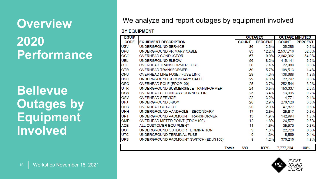### **Overview 2020 Performance**

#### **Bellevue Outages by Equipment Involved**

#### We analyze and report outages by equipment involved

#### **BY EQUIPMENT**

| <b>EQUIP</b> |                                       | <b>OUTAGES</b> |                | <b>OUTAGE MINUTES</b> |                |
|--------------|---------------------------------------|----------------|----------------|-----------------------|----------------|
| <b>CODE</b>  | <b>EQUIPMENT DESCRIPTION</b>          | <b>COUNT</b>   | <b>PERCENT</b> | <b>COUNT</b>          | <b>PERCENT</b> |
| <b>USV</b>   | UNDERGROUND SERVICE                   | 86             | 12.6%          | 35,286                | 0.5%           |
| <b>UPC</b>   | UNDERGROUND PRIMARY CABLE             | 83             | 12.2%          | 2,537,716             | 32.6%          |
| <b>OCO</b>   | OVERHEAD CONDUCTOR                    | 67             | 9.9%           | 2,642,062             | 34.0%          |
| <b>UEL</b>   | UNDERGROUND ELBOW                     | 56             | 8.2%           | 415,141               | 5.3%           |
| <b>OTF</b>   | OVERHEAD TRANSFORMER FUSE             | 50             | 7.4%           | 22,888                | 0.3%           |
| <b>OTR</b>   | <b>OVERHEAD TRANSFORMER</b>           | 39             | 5.7%           | 108,513               | 1.4%           |
| OFU          | OVERHEAD LINE FUSE / FUSE LINK        | 29             | 4.3%           | 138,688               | 1.8%           |
| <b>USC</b>   | UNDERGROUND SECONDARY CABLE           | 29             | 4.3%           | 22,792                | 0.3%           |
| <b>OPO</b>   | OVERHEAD POLE (EDOP100)               | 25             | 3.7%           | 252.544               | 3.2%           |
| <b>UTR</b>   | UNDERGROUND SUBMERSIBLE TRANSFORMER   | 24             | 3.5%           | 153,337               | 2.0%           |
| <b>OCN</b>   | OVERHEAD SECONDARY CONNECTOR          | 23             | 3.4%           | 13,095                | 0.2%           |
| OSV          | <b>OVERHEAD SERVICE</b>               | 22             | 3.2%           | 4,771                 | 0.1%           |
| <b>UFJ</b>   | UNDERGROUND J-BOX                     | 20             | 2.9%           | 270,120               | 3.5%           |
| <b>OFC</b>   | <b>OVERHEAD CUT-OUT</b>               | 20             | 2.9%           | 47,877                | 0.6%           |
| <b>UHH</b>   | UNDERGROUND HANDHOLE - SECONDARY      | 17             | 2.5%           | 25,617                | 0.3%           |
| <b>UPT</b>   | UNDERGROUND PADMOUNT TRANSFORMER      | 13             | 1.9%           | 142,994               | 1.8%           |
| <b>OMP</b>   | OVERHEAD METER POINT (EDOM100)        | 12             | 1.8%           | 24,577                | 0.3%           |
| <b>ACE</b>   | ALL CUSTOMER EQUIPMENT                | 11             | 1.6%           | 35,970                | 0.5%           |
| <b>UOT</b>   | UNDERGROUND OUTDOOR TERMINATION       | 9              | 1.3%           | 22,720                | 0.3%           |
| <b>UTC</b>   | UNDERGROUND TERMINAL FUSE             | 9              | 1.3%           | 5,589                 | 0.1%           |
| <b>UPS</b>   | UNDERGROUND PADMOUNT SWITCH (EDUS100) | 8              | 1.2%           | 370,215               | 4.8%           |
|              | Totals                                | 680            | 100%           | 7,777,264             | 100%           |

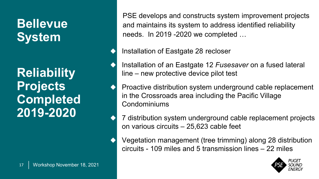**Reliability Projects Completed 2019-2020**

PSE develops and constructs system improvement projects and maintains its system to address identified reliability needs. In 2019 -2020 we completed …

Installation of Eastgate 28 recloser

Installation of an Eastgate 12 *Fusesaver* on a fused lateral line – new protective device pilot test

Proactive distribution system underground cable replacement in the Crossroads area including the Pacific Village Condominiums

7 distribution system underground cable replacement projects on various circuits – 25,623 cable feet

Vegetation management (tree trimming) along 28 distribution circuits - 109 miles and 5 transmission lines – 22 miles

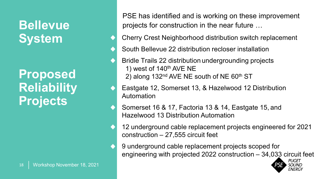**Proposed Reliability Projects**

PSE has identified and is working on these improvement projects for construction in the near future …

- Cherry Crest Neighborhood distribution switch replacement
- South Bellevue 22 distribution recloser installation
- Bridle Trails 22 distribution undergrounding projects 1) west of  $140<sup>th</sup>$  AVE NE 2) along  $132<sup>nd</sup>$  AVE NE south of NE 60<sup>th</sup> ST
- Eastgate 12, Somerset 13, & Hazelwood 12 Distribution Automation
- Somerset 16 & 17, Factoria 13 & 14, Eastgate 15, and Hazelwood 13 Distribution Automation
- 12 underground cable replacement projects engineered for 2021 construction – 27,555 circuit feet
- 9 underground cable replacement projects scoped for engineering with projected 2022 construction – 34,033 circuit feet

PUGET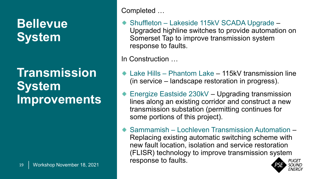#### **Transmission System Improvements**

Completed …

◆ Shuffleton – Lakeside 115kV SCADA Upgrade – Upgraded highline switches to provide automation on Somerset Tap to improve transmission system response to faults.

In Construction …

- Lake Hills Phantom Lake 115kV transmission line (in service – landscape restoration in progress).
- ◆ Energize Eastside 230kV Upgrading transmission lines along an existing corridor and construct a new transmission substation (permitting continues for some portions of this project).
- ◆ Sammamish Lochleven Transmission Automation Replacing existing automatic switching scheme with new fault location, isolation and service restoration (FLISR) technology to improve transmission system response to faults.

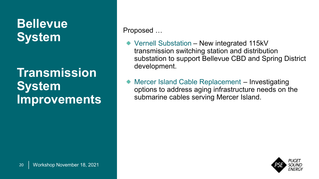#### **Transmission System Improvements**

Proposed …

- ◆ Vernell Substation New integrated 115kV transmission switching station and distribution substation to support Bellevue CBD and Spring District development.
- Mercer Island Cable Replacement Investigating options to address aging infrastructure needs on the submarine cables serving Mercer Island.

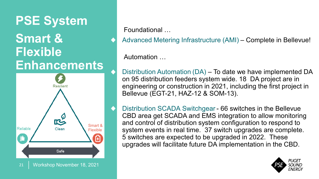### **PSE System Smart & Flexible Enhancements**



Foundational …

Advanced Metering Infrastructure (AMI) – Complete in Bellevue!

Automation …

Distribution Automation (DA) – To date we have implemented DA on 95 distribution feeders system wide. 18 DA project are in engineering or construction in 2021, including the first project in Bellevue (EGT-21, HAZ-12 & SOM-13).

Distribution SCADA Switchgear - 66 switches in the Bellevue CBD area get SCADA and EMS integration to allow monitoring and control of distribution system configuration to respond to system events in real time. 37 switch upgrades are complete. 5 switches are expected to be upgraded in 2022. These upgrades will facilitate future DA implementation in the CBD.

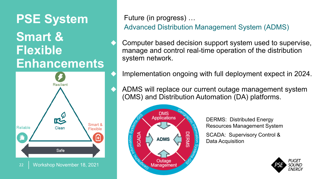### **PSE System Smart & Flexible Enhancements**



Future (in progress) …

Advanced Distribution Management System (ADMS)

Computer based decision support system used to supervise, manage and control real-time operation of the distribution system network.

Implementation ongoing with full deployment expect in 2024.

ADMS will replace our current outage management system (OMS) and Distribution Automation (DA) platforms.



DERMS: Distributed Energy Resources Management System

SCADA: Supervisory Control & Data Acquisition

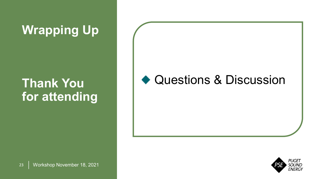## **Wrapping Up**

### **Thank You for attending**

#### ◆ Questions & Discussion